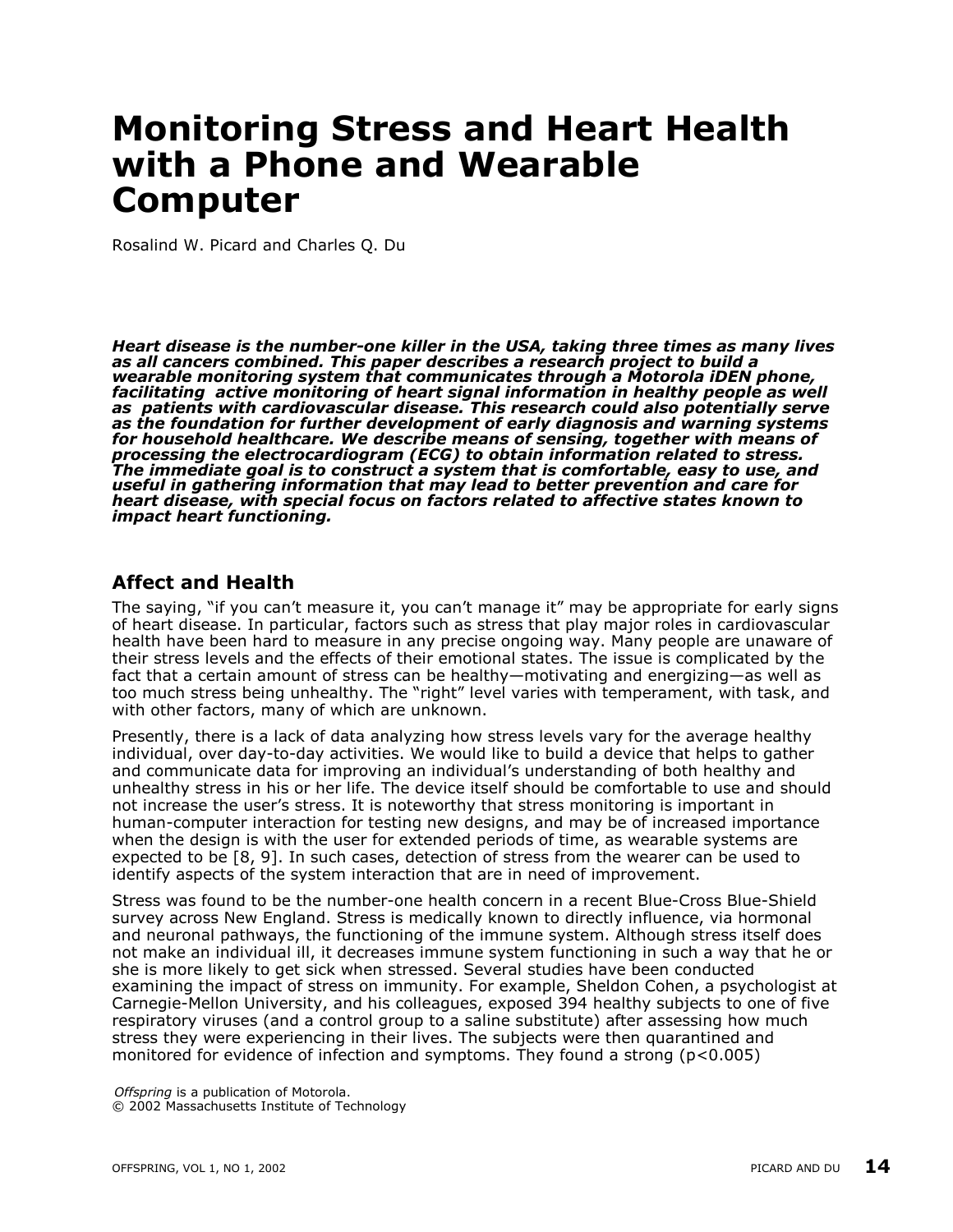# **Monitoring Stress and Heart Health** with a Phone and Wearable **Computer**

Rosalind W. Picard and Charles Q. Du

Heart disease is the number-one killer in the USA, taking three times as many lives reart disease is the number-one kiner in the OSA, taking times times as inary nyes<br>as all cancers combined. This paper describes a research project to build a<br>wearable monitoring system that communicates through a Motorola as patients with cardiovascular disease. This research could also potentially serve as the foundation for further development of early diagnosis and warning systems for household healthcare. We describe means of sensing, together with means of processing the electrocardiogram (ECG) to obtain information related to stress. The immediate goal is to construct`a sýstem that is comfortable, easy to use, and useful in gathering information that may lead to better prevention and care for heart disease, with special focus on factors related to affective states known to *impact heart functioning.* 

#### **Affect and Health**

The saying, "if you can't measure it, you can't manage it" may be appropriate for early signs of heart disease. In particular, factors such as stress that play major roles in cardiovascular health have been hard to measure in any precise ongoing way. Many people are unaware of their stress levels and the effects of their emotional states. The issue is complicated by the fact that a certain amount of stress can be healthy—motivating and energizing—as well as too much stress being unhealthy. The "right" level varies with temperament, with task, and with other factors, many of which are unknown.

Presently, there is a lack of data analyzing how stress levels vary for the average healthy individual, over day-to-day activities. We would like to build a device that helps to gather and communicate data for improving an individual's understanding of both healthy and unhealthy stress in his or her life. The device itself should be comfortable to use and should not increase the user's stress. It is noteworthy that stress monitoring is important in human-computer interaction for testing new designs, and may be of increased importance when the design is with the user for extended periods of time, as wearable systems are expected to be [8, 9]. In such cases, detection of stress from the wearer can be used to identify aspects of the system interaction that are in need of improvement.

Stress was found to be the number-one health concern in a recent Blue-Cross Blue-Shield survey across New England. Stress is medically known to directly influence, via hormonal and neuronal pathways, the functioning of the immune system. Although stress itself does not make an individual ill, it decreases immune system functioning in such a way that he or she is more likely to get sick when stressed. Several studies have been conducted examining the impact of stress on immunity. For example, Sheldon Cohen, a psychologist at Carnegie-Mellon University, and his colleagues, exposed 394 healthy subjects to one of five respiratory viruses (and a control group to a saline substitute) after assessing how much stress they were experiencing in their lives. The subjects were then quarantined and monitored for evidence of infection and symptoms. They found a strong  $(p<0.005)$ 

Offspring is a publication of Motorola. © 2002 Massachusetts Institute of Technology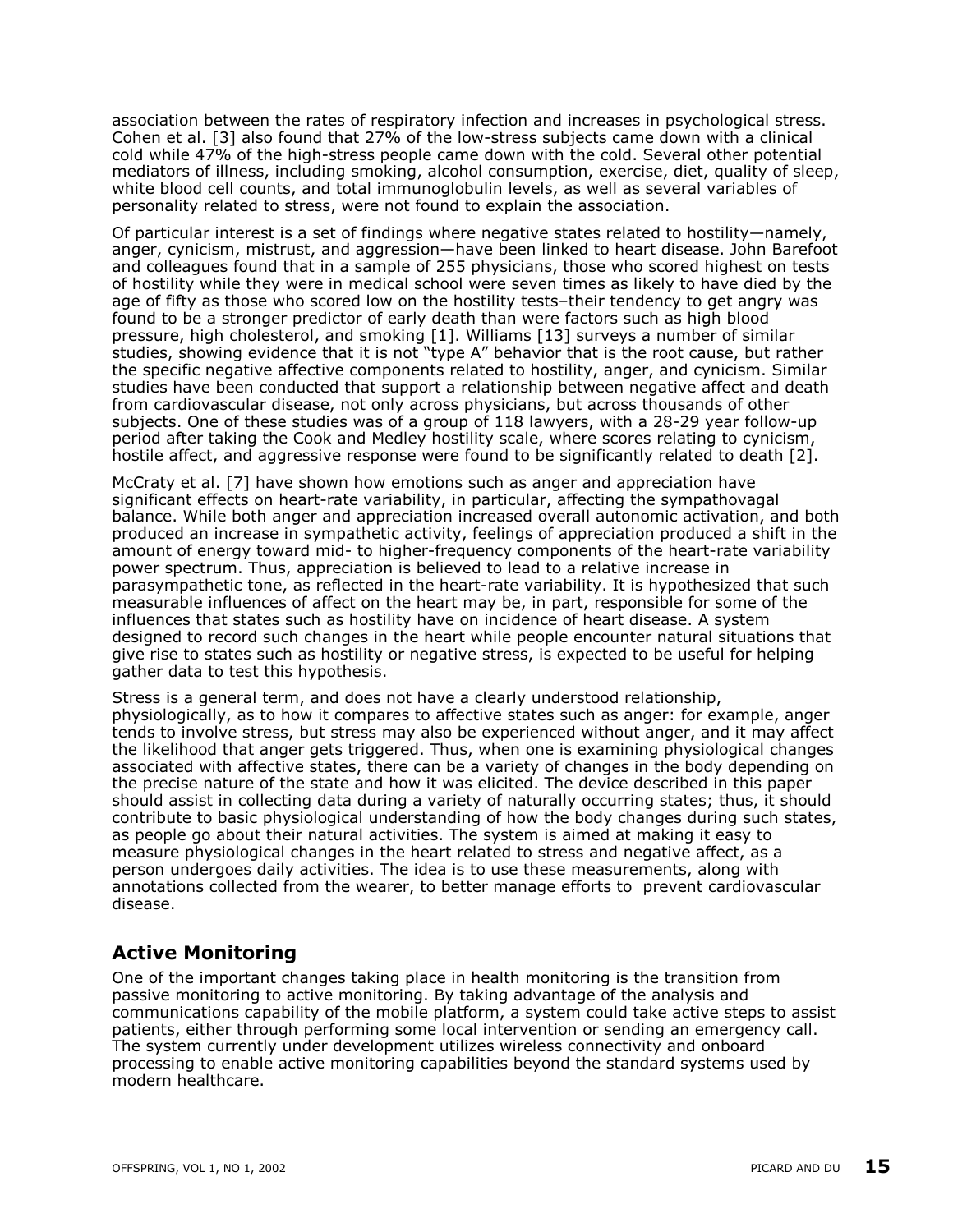association between the rates of respiratory infection and increases in psychological stress. Cohen et al. [3] also found that 27% of the low-stress subjects came down with a clinical cold while 47% of the high-stress people came down with the cold. Several other potential mediators of illness, including smoking, alcohol consumption, exercise, diet, quality of sleep, white blood cell counts, and total immunoglobulin levels, as well as several variables of personality related to stress, were not found to explain the association.

Of particular interest is a set of findings where negative states related to hostility—namely, anger, cynicism, mistrust, and aggression-have been linked to heart disease. John Barefoot and colleagues found that in a sample of 255 physicians, those who scored highest on tests of hostility while they were in medical school were seven times as likely to have died by the age of fifty as those who scored low on the hostility tests-their tendency to get angry was found to be a stronger predictor of early death than were factors such as high blood pressure, high cholesterol, and smoking [1]. Williams [13] surveys a number of similar studies, showing evidence that it is not "type A" behavior that is the root cause, but rather the specific negative affective components related to hostility, anger, and cynicism. Similar studies have been conducted that support a relationship between negative affect and death from cardiovascular disease, not only across physicians, but across thousands of other subjects. One of these studies was of a group of 118 lawyers, with a 28-29 year follow-up period after taking the Cook and Medley hostility scale, where scores relating to cynicism, hostile affect, and aggressive response were found to be significantly related to death [2].

McCraty et al. [7] have shown how emotions such as anger and appreciation have significant effects on heart-rate variability, in particular, affecting the sympathovagal balance. While both anger and appreciation increased overall autonomic activation, and both produced an increase in sympathetic activity, feelings of appreciation produced a shift in the amount of energy toward mid- to higher-frequency components of the heart-rate variability power spectrum. Thus, appreciation is believed to lead to a relative increase in parasympathetic tone, as reflected in the heart-rate variability. It is hypothesized that such measurable influences of affect on the heart may be, in part, responsible for some of the influences that states such as hostility have on incidence of heart disease. A system designed to record such changes in the heart while people encounter natural situations that give rise to states such as hostility or negative stress, is expected to be useful for helping gather data to test this hypothesis.

Stress is a general term, and does not have a clearly understood relationship, physiologically, as to how it compares to affective states such as anger: for example, anger tends to involve stress, but stress may also be experienced without anger, and it may affect the likelihood that anger gets triggered. Thus, when one is examining physiological changes associated with affective states, there can be a variety of changes in the body depending on the precise nature of the state and how it was elicited. The device described in this paper should assist in collecting data during a variety of naturally occurring states; thus, it should contribute to basic physiological understanding of how the body changes during such states, as people go about their natural activities. The system is aimed at making it easy to measure physiological changes in the heart related to stress and negative affect, as a person undergoes daily activities. The idea is to use these measurements, along with annotations collected from the wearer, to better manage efforts to prevent cardiovascular disease.

# **Active Monitoring**

One of the important changes taking place in health monitoring is the transition from passive monitoring to active monitoring. By taking advantage of the analysis and communications capability of the mobile platform, a system could take active steps to assist patients, either through performing some local intervention or sending an emergency call. The system currently under development utilizes wireless connectivity and onboard processing to enable active monitoring capabilities beyond the standard systems used by modern healthcare.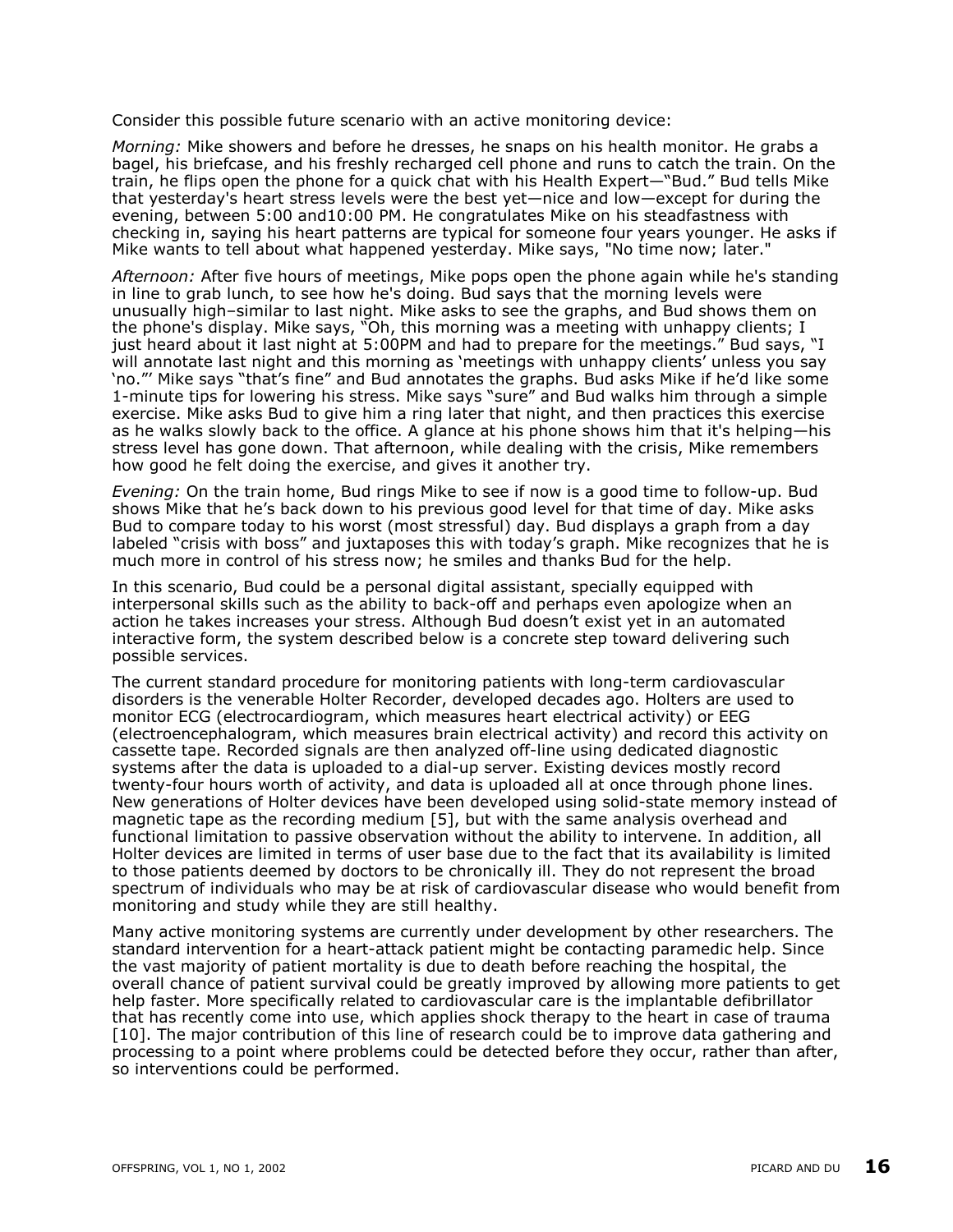Consider this possible future scenario with an active monitoring device:

Morning: Mike showers and before he dresses, he snaps on his health monitor. He grabs a bagel. his briefcase, and his freshly recharged cell phone and runs to catch the train. On the train, he flips open the phone for a quick chat with his Health Expert—"Bud." Bud tells Mike that yesterday's heart stress levels were the best yet—nice and low—except for during the evening, between 5:00 and 10:00 PM. He congratulates Mike on his steadfastness with checking in, saying his heart patterns are typical for someone four years younger. He asks if Mike wants to tell about what happened yesterday. Mike says, "No time now; later."

Afternoon: After five hours of meetings, Mike pops open the phone again while he's standing in line to grab lunch, to see how he's doing. Bud says that the morning levels were unusually high-similar to last night. Mike asks to see the graphs, and Bud shows them on the phone's display. Mike says, "Oh, this morning was a meeting with unhappy clients; I<br>just heard about it last night at 5:00PM and had to prepare for the meetings." Bud says, "I will annotate last night and this morning as 'meetings with unhappy clients' unless you say 'no."' Mike says "that's fine" and Bud annotates the graphs. Bud asks Mike if he'd like some 1-minute tips for lowering his stress. Mike says "sure" and Bud walks him through a simple exercise. Mike asks Bud to give him a ring later that night, and then practices this exercise as he walks slowly back to the office. A glance at his phone shows him that it's helping—his stress level has gone down. That afternoon, while dealing with the crisis, Mike remembers how good he felt doing the exercise, and gives it another try.

Evening: On the train home, Bud rings Mike to see if now is a good time to follow-up. Bud shows Mike that he's back down to his previous good level for that time of day. Mike asks Bud to compare today to his worst (most stressful) day. Bud displays a graph from a day labeled "crisis with boss" and juxtaposes this with today's graph. Mike recognizes that he is much more in control of his stress now; he smiles and thanks Bud for the help.

In this scenario, Bud could be a personal digital assistant, specially equipped with interpersonal skills such as the ability to back-off and perhaps even apologize when an action he takes increases your stress. Although Bud doesn't exist yet in an automated interactive form, the system described below is a concrete step toward delivering such possible services.

The current standard procedure for monitoring patients with long-term cardiovascular disorders is the venerable Holter Recorder, developed decades ago. Holters are used to monitor ECG (electrocardiogram, which measures heart electrical activity) or EEG (electroencephalogram, which measures brain electrical activity) and record this activity on cassette tape. Recorded signals are then analyzed off-line using dedicated diagnostic systems after the data is uploaded to a dial-up server. Existing devices mostly record twenty-four hours worth of activity, and data is uploaded all at once through phone lines. New generations of Holter devices have been developed using solid-state memory instead of magnetic tape as the recording medium [5], but with the same analysis overhead and functional limitation to passive observation without the ability to intervene. In addition, all Holter devices are limited in terms of user base due to the fact that its availability is limited to those patients deemed by doctors to be chronically ill. They do not represent the broad spectrum of individuals who may be at risk of cardiovascular disease who would benefit from monitoring and study while they are still healthy.

Many active monitoring systems are currently under development by other researchers. The standard intervention for a heart-attack patient might be contacting paramedic help. Since the vast majority of patient mortality is due to death before reaching the hospital, the overall chance of patient survival could be greatly improved by allowing more patients to get help faster. More specifically related to cardiovascular care is the implantable defibrillator that has recently come into use, which applies shock therapy to the heart in case of trauma [10]. The major contribution of this line of research could be to improve data gathering and processing to a point where problems could be detected before they occur, rather than after, so interventions could be performed.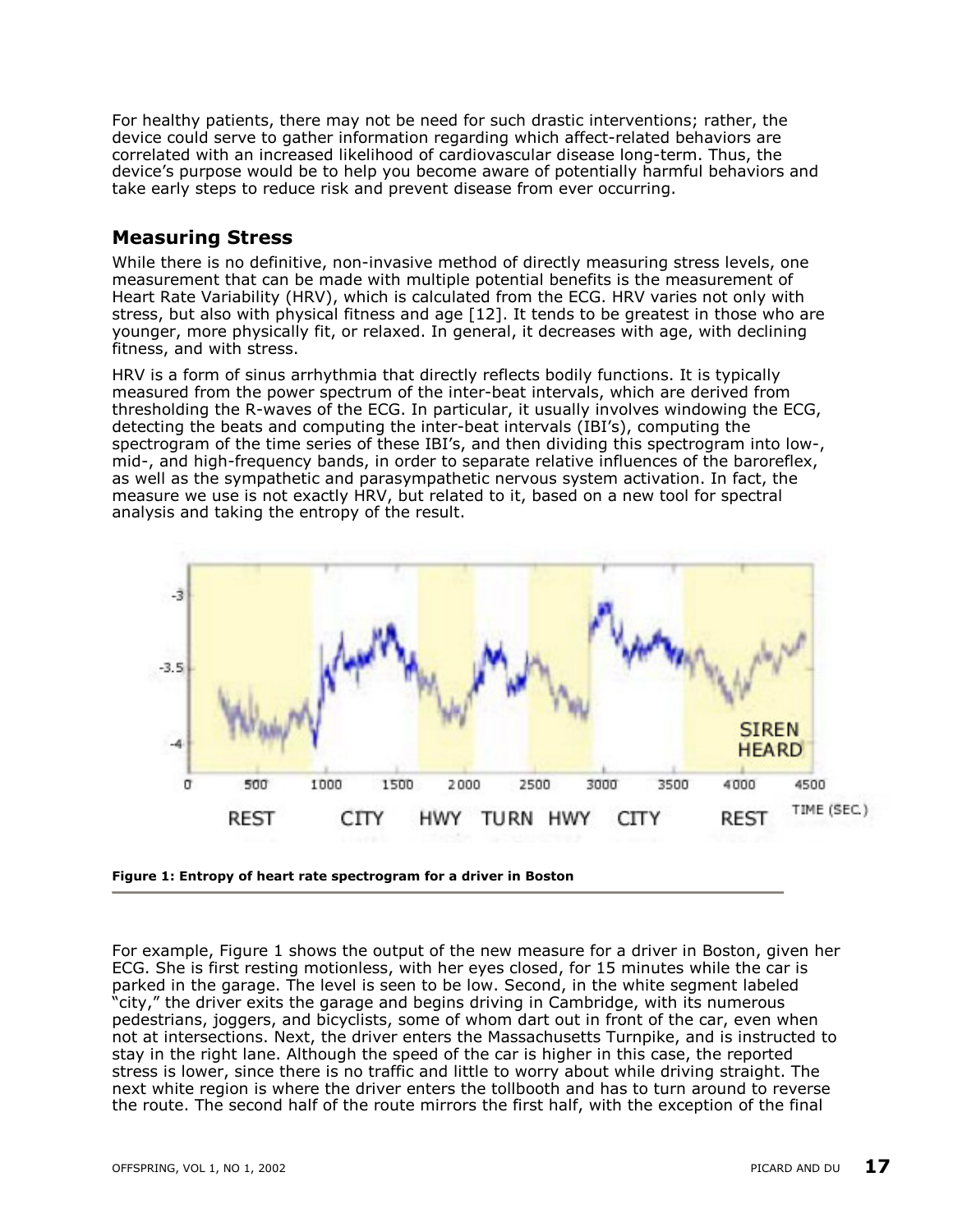For healthy patients, there may not be need for such drastic interventions; rather, the device could serve to gather information regarding which affect-related behaviors are correlated with an increased likelihood of cardiovascular disease long-term. Thus, the device's purpose would be to help you become aware of potentially harmful behaviors and take early steps to reduce risk and prevent disease from ever occurring.

## **Measuring Stress**

While there is no definitive, non-invasive method of directly measuring stress levels, one measurement that can be made with multiple potential benefits is the measurement of Heart Rate Variability (HRV), which is calculated from the ECG. HRV varies not only with stress, but also with physical fitness and age [12]. It tends to be greatest in those who are younger, more physically fit, or relaxed. In general, it decreases with age, with declining fitness, and with stress.

HRV is a form of sinus arrhythmia that directly reflects bodily functions. It is typically measured from the power spectrum of the inter-beat intervals, which are derived from thresholding the R-waves of the ECG. In particular, it usually involves windowing the ECG, detecting the beats and computing the inter-beat intervals (IBI's), computing the spectrogram of the time series of these IBI's, and then dividing this spectrogram into low-, mid-, and high-frequency bands, in order to separate relative influences of the baroreflex, as well as the sympathetic and parasympathetic nervous system activation. In fact, the measure we use is not exactly HRV, but related to it, based on a new tool for spectral analysis and taking the entropy of the result.



Figure 1: Entropy of heart rate spectrogram for a driver in Boston

For example, Figure 1 shows the output of the new measure for a driver in Boston, given her ECG. She is first resting motionless, with her eyes closed, for 15 minutes while the car is parked in the garage. The level is seen to be low. Second, in the white seament labeled "city," the driver exits the garage and begins driving in Cambridge, with its numerous pedestrians, joggers, and bicyclists, some of whom dart out in front of the car, even when not at intersections. Next, the driver enters the Massachusetts Turnpike, and is instructed to stay in the right lane. Although the speed of the car is higher in this case, the reported stress is lower, since there is no traffic and little to worry about while driving straight. The next white region is where the driver enters the tollbooth and has to turn around to reverse the route. The second half of the route mirrors the first half, with the exception of the final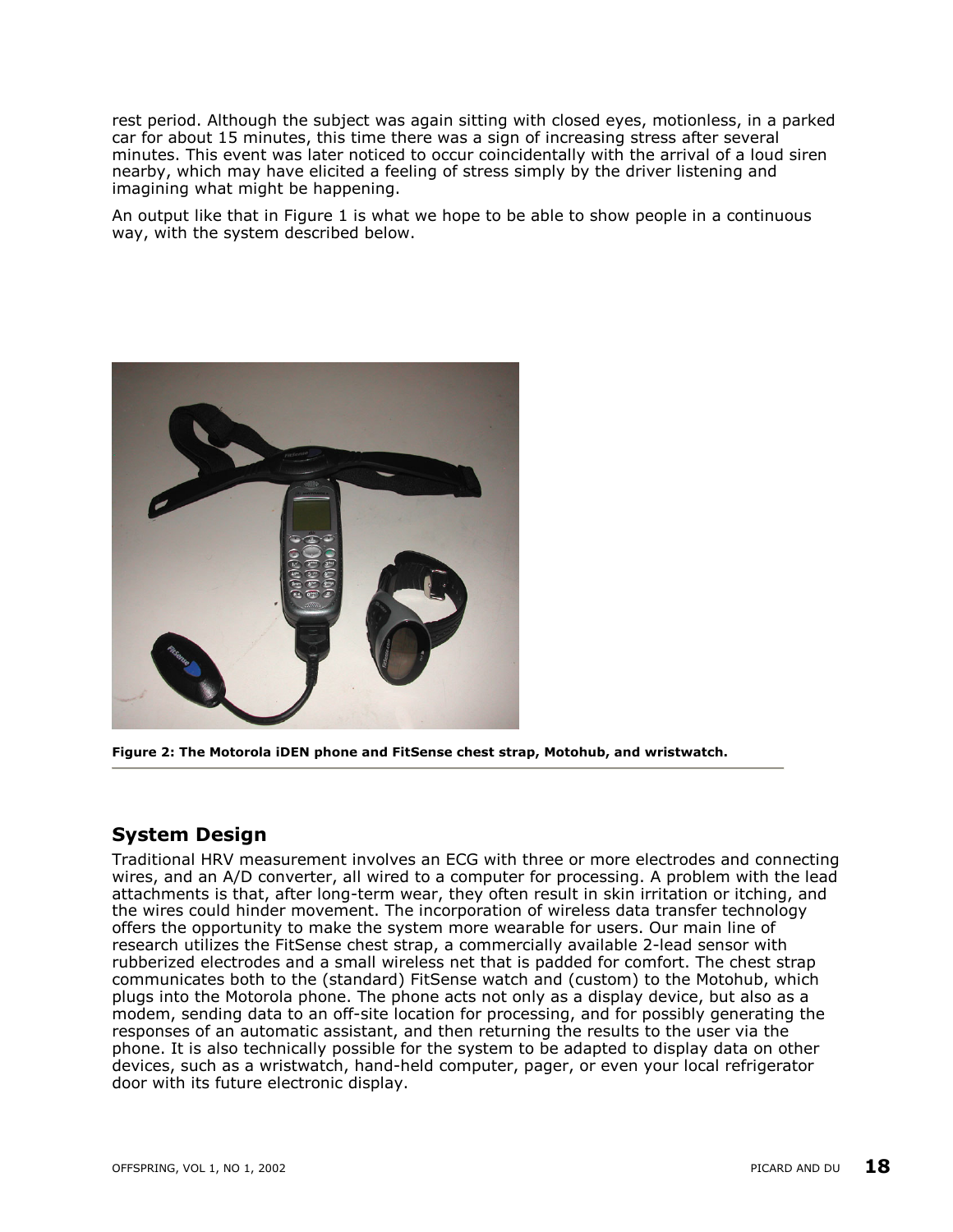rest period. Although the subject was again sitting with closed eyes, motionless, in a parked car for about 15 minutes, this time there was a sign of increasing stress after several minutes. This event was later noticed to occur coincidentally with the arrival of a loud siren nearby, which may have elicited a feeling of stress simply by the driver listening and imagining what might be happening.

An output like that in Figure 1 is what we hope to be able to show people in a continuous way, with the system described below.



Figure 2: The Motorola iDEN phone and FitSense chest strap, Motohub, and wristwatch.

# **System Design**

Traditional HRV measurement involves an ECG with three or more electrodes and connecting wires, and an A/D converter, all wired to a computer for processing. A problem with the lead attachments is that, after long-term wear, they often result in skin irritation or itching, and the wires could hinder movement. The incorporation of wireless data transfer technology offers the opportunity to make the system more wearable for users. Our main line of research utilizes the FitSense chest strap, a commercially available 2-lead sensor with rubberized electrodes and a small wireless net that is padded for comfort. The chest strap communicates both to the (standard) FitSense watch and (custom) to the Motohub, which plugs into the Motorola phone. The phone acts not only as a display device, but also as a modem, sending data to an off-site location for processing, and for possibly generating the responses of an automatic assistant, and then returning the results to the user via the phone. It is also technically possible for the system to be adapted to display data on other devices, such as a wristwatch, hand-held computer, pager, or even your local refrigerator door with its future electronic display.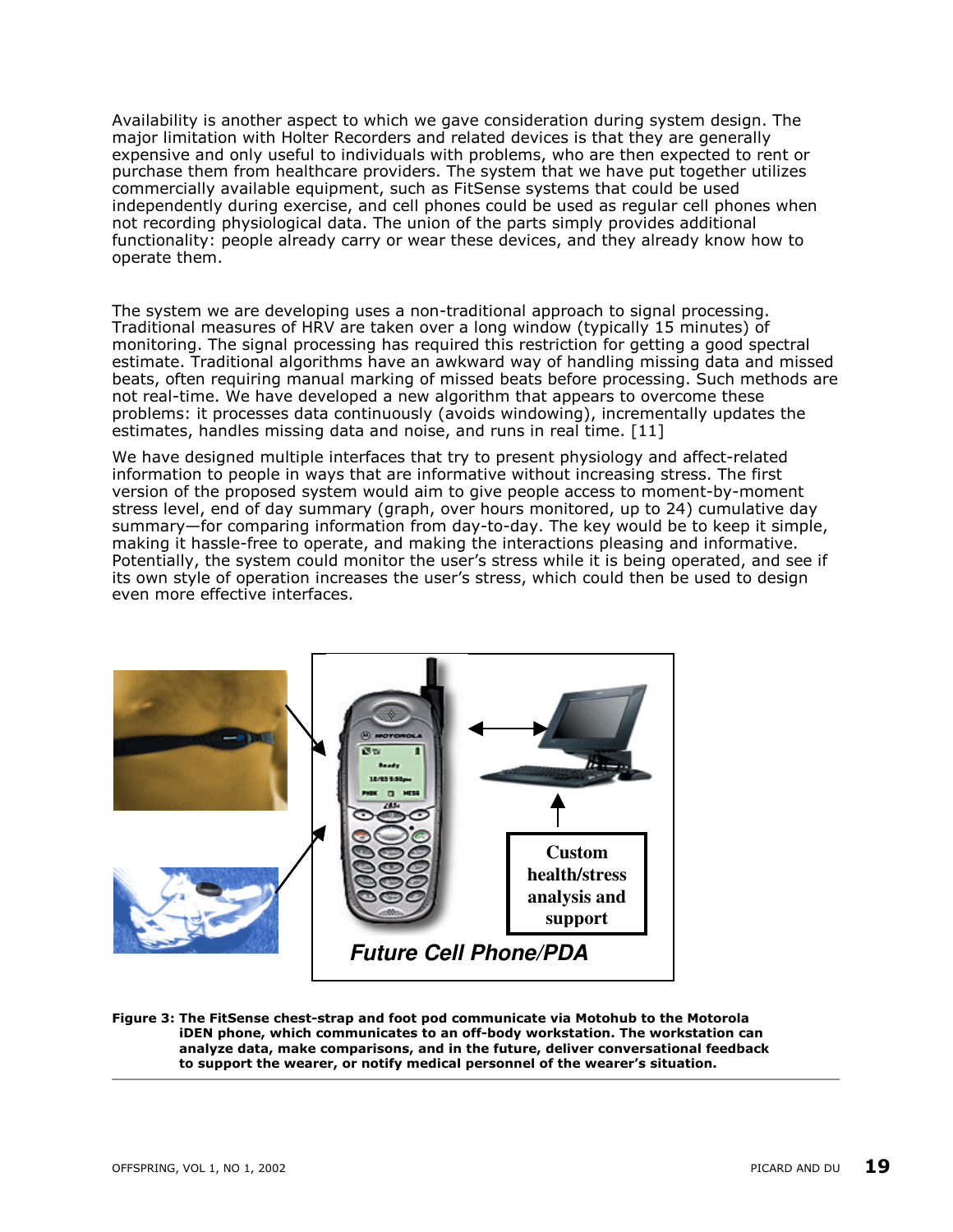Availability is another aspect to which we gave consideration during system design. The major limitation with Holter Recorders and related devices is that they are generally expensive and only useful to individuals with problems, who are then expected to rent or purchase them from healthcare providers. The system that we have put together utilizes commercially available equipment, such as FitSense systems that could be used independently during exercise, and cell phones could be used as regular cell phones when not recording physiological data. The union of the parts simply provides additional functionality: people already carry or wear these devices, and they already know how to operate them.

The system we are developing uses a non-traditional approach to signal processing. Traditional measures of HRV are taken over a long window (typically 15 minutes) of monitoring. The signal processing has reguired this restriction for getting a good spectral estimate. Traditional algorithms have an awkward way of handling missing data and missed beats, often requiring manual marking of missed beats before processing. Such methods are not real-time. We have developed a new algorithm that appears to overcome these problems: it processes data continuously (avoids windowing), incrementally updates the estimates, handles missing data and noise, and runs in real time. [11]

We have designed multiple interfaces that try to present physiology and affect-related information to people in ways that are informative without increasing stress. The first version of the proposed system would aim to give people access to moment-by-moment stress level, end of day summary (graph, over hours monitored, up to 24) cumulative day summary—for comparing information from day-to-day. The key would be to keep it simple, making it hassle-free to operate, and making the interactions pleasing and informative. Potentially, the system could monitor the user's stress while it is being operated, and see if its own style of operation increases the user's stress, which could then be used to design even more effective interfaces.



Figure 3: The FitSense chest-strap and foot pod communicate via Motohub to the Motorola iDEN phone, which communicates to an off-body workstation. The workstation can analyze data, make comparisons, and in the future, deliver conversational feedback to support the wearer, or notify medical personnel of the wearer's situation.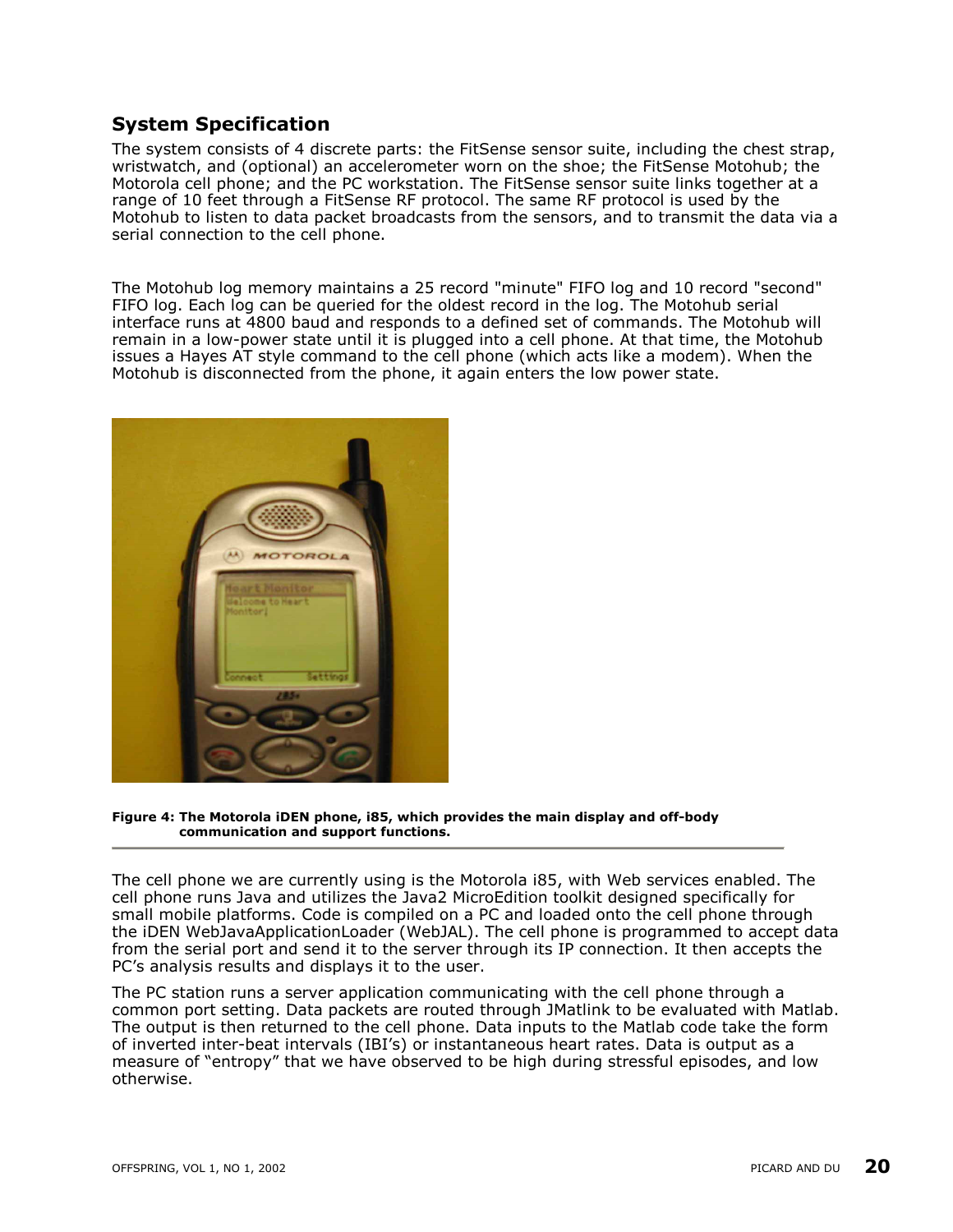## **System Specification**

The system consists of 4 discrete parts: the FitSense sensor suite, including the chest strap, wristwatch, and (optional) an accelerometer worn on the shoe; the FitSense Motohub; the Motorola cell phone; and the PC workstation. The FitSense sensor suite links together at a range of 10 feet through a FitSense RF protocol. The same RF protocol is used by the Motohub to listen to data packet broadcasts from the sensors, and to transmit the data via a serial connection to the cell phone.

The Motohub log memory maintains a 25 record "minute" FIFO log and 10 record "second" FIFO log. Each log can be queried for the oldest record in the log. The Motohub serial interface runs at 4800 baud and responds to a defined set of commands. The Motohub will remain in a low-power state until it is plugged into a cell phone. At that time, the Motohub issues a Hayes AT style command to the cell phone (which acts like a modem). When the Motohub is disconnected from the phone, it again enters the low power state.





The cell phone we are currently using is the Motorola i85, with Web services enabled. The cell phone runs Java and utilizes the Java2 MicroEdition toolkit designed specifically for small mobile platforms. Code is compiled on a PC and loaded onto the cell phone through the iDEN WebJavaApplicationLoader (WebJAL). The cell phone is programmed to accept data from the serial port and send it to the server through its IP connection. It then accepts the PC's analysis results and displays it to the user.

The PC station runs a server application communicating with the cell phone through a common port setting. Data packets are routed through JMatlink to be evaluated with Matlab. The output is then returned to the cell phone. Data inputs to the Matlab code take the form of inverted inter-beat intervals (IBI's) or instantaneous heart rates. Data is output as a measure of "entropy" that we have observed to be high during stressful episodes, and low otherwise.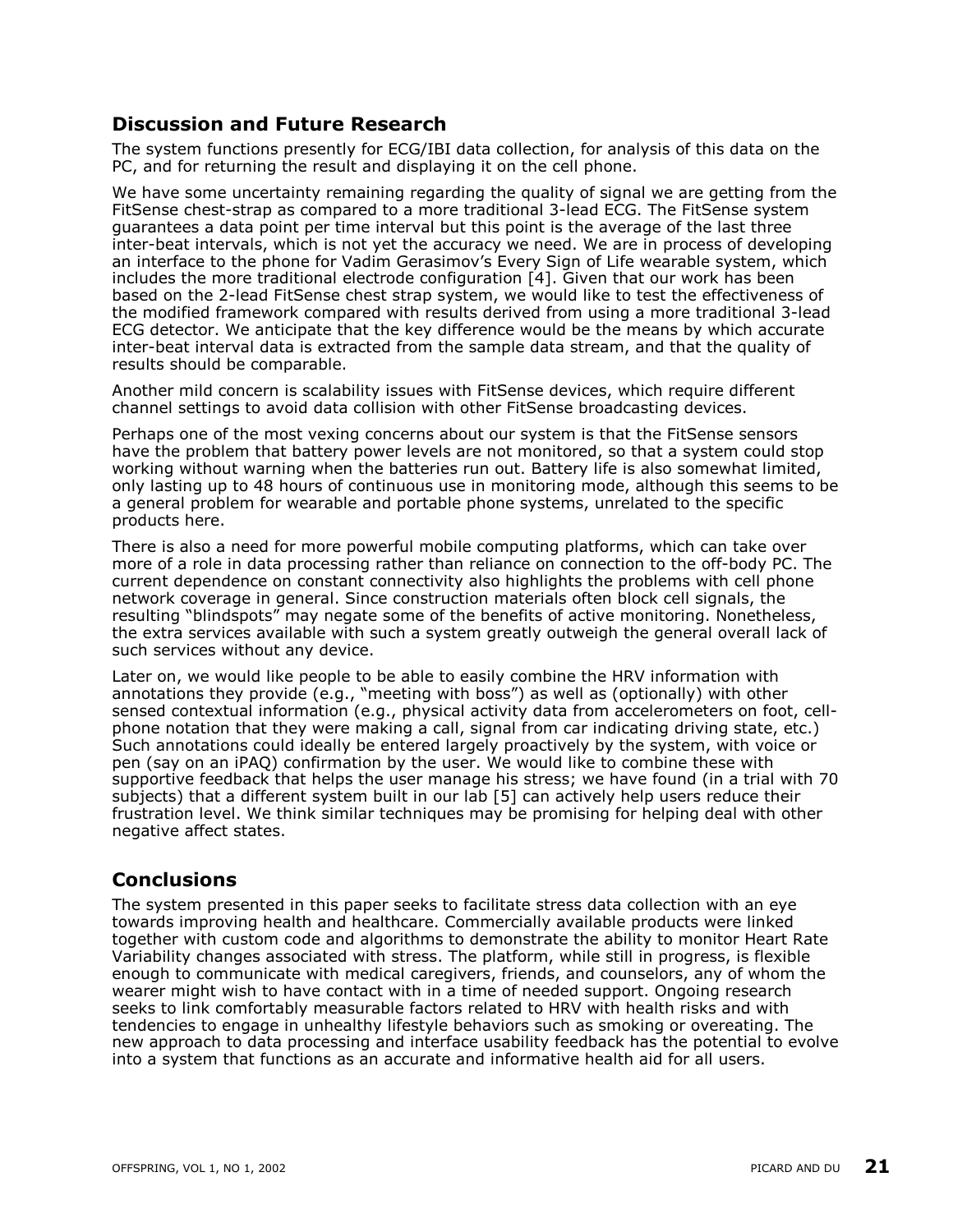#### **Discussion and Future Research**

The system functions presently for ECG/IBI data collection, for analysis of this data on the PC, and for returning the result and displaying it on the cell phone.

We have some uncertainty remaining regarding the quality of signal we are getting from the FitSense chest-strap as compared to a more traditional 3-lead ECG. The FitSense system guarantees a data point per time interval but this point is the average of the last three inter-beat intervals, which is not yet the accuracy we need. We are in process of developing an interface to the phone for Vadim Gerasimov's Every Sign of Life wearable system, which includes the more traditional electrode configuration [4]. Given that our work has been based on the 2-lead FitSense chest strap system, we would like to test the effectiveness of the modified framework compared with results derived from using a more traditional 3-lead ECG detector. We anticipate that the key difference would be the means by which accurate inter-beat interval data is extracted from the sample data stream, and that the quality of results should be comparable.

Another mild concern is scalability issues with FitSense devices, which require different channel settings to avoid data collision with other FitSense broadcasting devices.

Perhaps one of the most vexing concerns about our system is that the FitSense sensors have the problem that battery power levels are not monitored, so that a system could stop working without warning when the batteries run out. Battery life is also somewhat limited, only lasting up to 48 hours of continuous use in monitoring mode, although this seems to be a general problem for wearable and portable phone systems, unrelated to the specific products here.

There is also a need for more powerful mobile computing platforms, which can take over more of a role in data processing rather than reliance on connection to the off-body PC. The current dependence on constant connectivity also highlights the problems with cell phone network coverage in general. Since construction materials often block cell signals, the resulting "blindspots" may negate some of the benefits of active monitoring. Nonetheless, the extra services available with such a system greatly outweigh the general overall lack of such services without any device.

Later on, we would like people to be able to easily combine the HRV information with annotations they provide (e.g., "meeting with boss") as well as (optionally) with other sensed contextual information (e.g., physical activity data from accelerometers on foot, cellphone notation that they were making a call, signal from car indicating driving state, etc.) Such annotations could ideally be entered largely proactively by the system, with voice or pen (say on an iPAQ) confirmation by the user. We would like to combine these with supportive feedback that helps the user manage his stress; we have found (in a trial with 70 subjects) that a different system built in our lab [5] can actively help users reduce their frustration level. We think similar techniques may be promising for helping deal with other negative affect states.

#### **Conclusions**

The system presented in this paper seeks to facilitate stress data collection with an eye towards improving health and healthcare. Commercially available products were linked together with custom code and algorithms to demonstrate the ability to monitor Heart Rate Variability changes associated with stress. The platform, while still in progress, is flexible enough to communicate with medical caregivers, friends, and counselors, any of whom the wearer might wish to have contact with in a time of needed support. Ongoing research seeks to link comfortably measurable factors related to HRV with health risks and with tendencies to engage in unhealthy lifestyle behaviors such as smoking or overeating. The new approach to data processing and interface usability feedback has the potential to evolve into a system that functions as an accurate and informative health aid for all users.